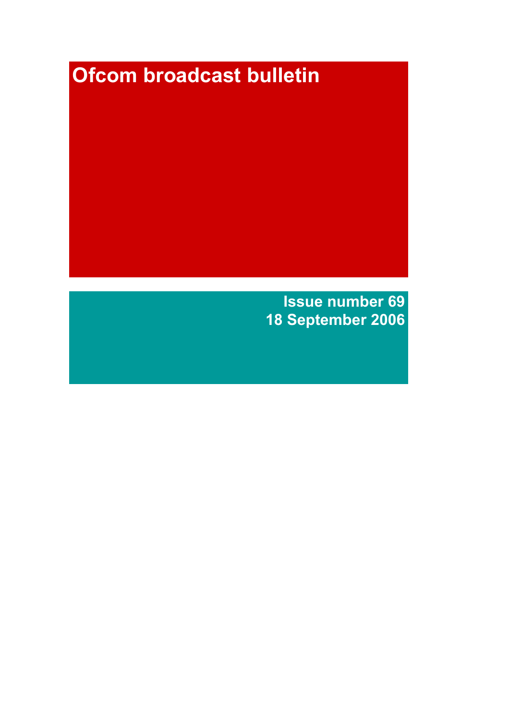# Ofcom broadcast bulletin

Issue number 69 18 September 2006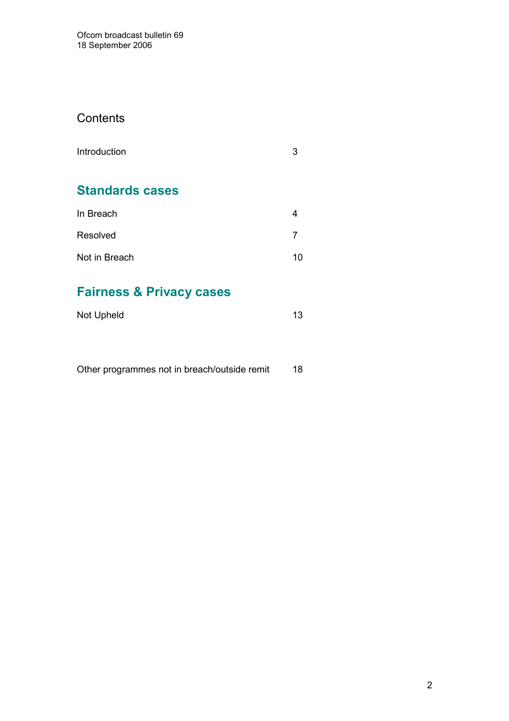## **Contents**

| Introduction |  |
|--------------|--|
|              |  |

# Standards cases

| In Breach     |    |
|---------------|----|
| Resolved      |    |
| Not in Breach | 10 |

# Fairness & Privacy cases

| Not Upheld |  |
|------------|--|
|            |  |

|  |  | Other programmes not in breach/outside remit | 18 |
|--|--|----------------------------------------------|----|
|--|--|----------------------------------------------|----|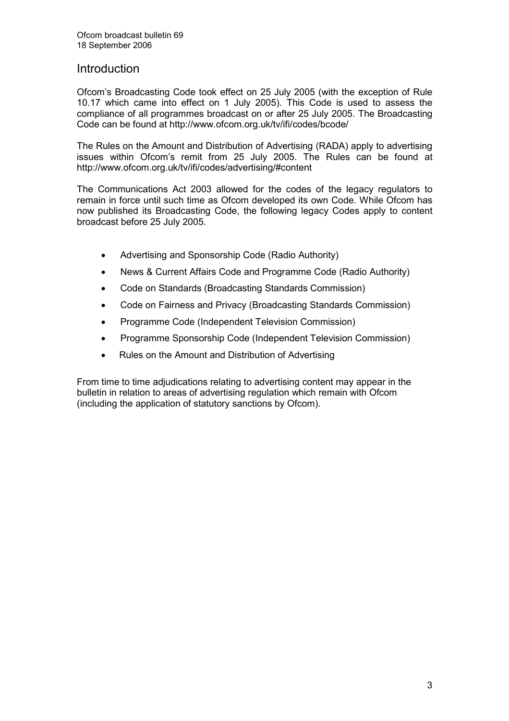## Introduction

Ofcom's Broadcasting Code took effect on 25 July 2005 (with the exception of Rule 10.17 which came into effect on 1 July 2005). This Code is used to assess the compliance of all programmes broadcast on or after 25 July 2005. The Broadcasting Code can be found at http://www.ofcom.org.uk/tv/ifi/codes/bcode/

The Rules on the Amount and Distribution of Advertising (RADA) apply to advertising issues within Ofcom's remit from 25 July 2005. The Rules can be found at http://www.ofcom.org.uk/tv/ifi/codes/advertising/#content

The Communications Act 2003 allowed for the codes of the legacy regulators to remain in force until such time as Ofcom developed its own Code. While Ofcom has now published its Broadcasting Code, the following legacy Codes apply to content broadcast before 25 July 2005.

- Advertising and Sponsorship Code (Radio Authority)
- News & Current Affairs Code and Programme Code (Radio Authority)
- Code on Standards (Broadcasting Standards Commission)
- Code on Fairness and Privacy (Broadcasting Standards Commission)
- Programme Code (Independent Television Commission)
- Programme Sponsorship Code (Independent Television Commission)
- Rules on the Amount and Distribution of Advertising

From time to time adjudications relating to advertising content may appear in the bulletin in relation to areas of advertising regulation which remain with Ofcom (including the application of statutory sanctions by Ofcom).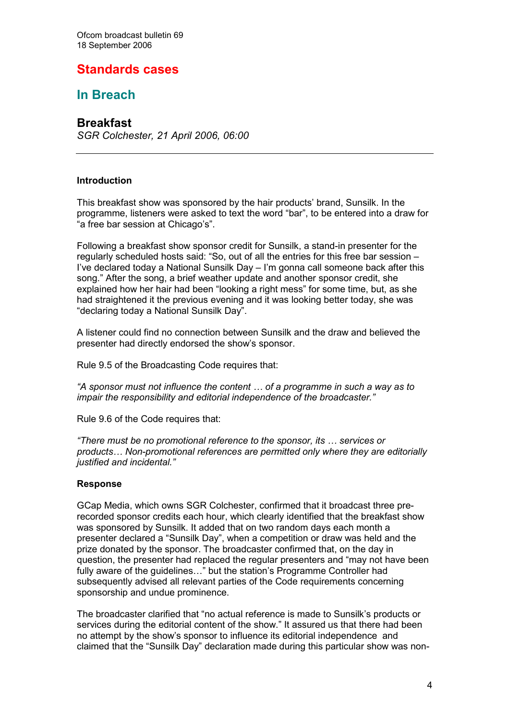## Standards cases

## In Breach

## **Breakfast**

SGR Colchester, 21 April 2006, 06:00

#### Introduction

This breakfast show was sponsored by the hair products' brand, Sunsilk. In the programme, listeners were asked to text the word "bar", to be entered into a draw for "a free bar session at Chicago's".

Following a breakfast show sponsor credit for Sunsilk, a stand-in presenter for the regularly scheduled hosts said: "So, out of all the entries for this free bar session – I've declared today a National Sunsilk Day – I'm gonna call someone back after this song." After the song, a brief weather update and another sponsor credit, she explained how her hair had been "looking a right mess" for some time, but, as she had straightened it the previous evening and it was looking better today, she was "declaring today a National Sunsilk Day".

A listener could find no connection between Sunsilk and the draw and believed the presenter had directly endorsed the show's sponsor.

Rule 9.5 of the Broadcasting Code requires that:

"A sponsor must not influence the content … of a programme in such a way as to impair the responsibility and editorial independence of the broadcaster."

Rule 9.6 of the Code requires that:

"There must be no promotional reference to the sponsor, its … services or products… Non-promotional references are permitted only where they are editorially justified and incidental."

#### Response

GCap Media, which owns SGR Colchester, confirmed that it broadcast three prerecorded sponsor credits each hour, which clearly identified that the breakfast show was sponsored by Sunsilk. It added that on two random days each month a presenter declared a "Sunsilk Day", when a competition or draw was held and the prize donated by the sponsor. The broadcaster confirmed that, on the day in question, the presenter had replaced the regular presenters and "may not have been fully aware of the guidelines…" but the station's Programme Controller had subsequently advised all relevant parties of the Code requirements concerning sponsorship and undue prominence.

The broadcaster clarified that "no actual reference is made to Sunsilk's products or services during the editorial content of the show." It assured us that there had been no attempt by the show's sponsor to influence its editorial independence and claimed that the "Sunsilk Day" declaration made during this particular show was non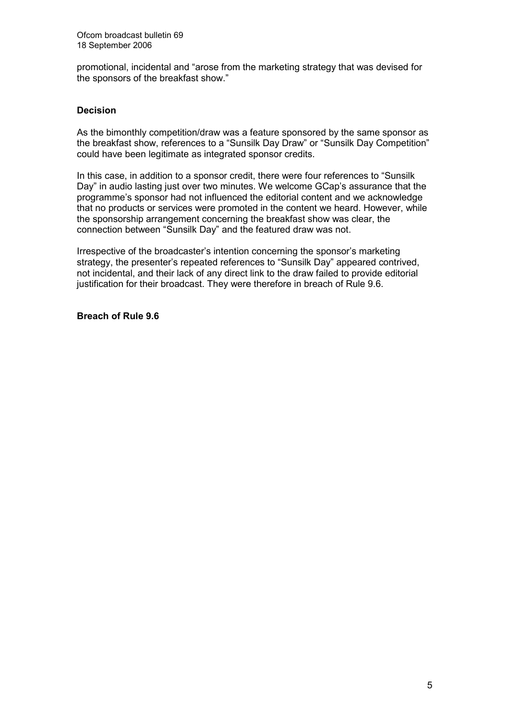promotional, incidental and "arose from the marketing strategy that was devised for the sponsors of the breakfast show."

#### Decision

As the bimonthly competition/draw was a feature sponsored by the same sponsor as the breakfast show, references to a "Sunsilk Day Draw" or "Sunsilk Day Competition" could have been legitimate as integrated sponsor credits.

In this case, in addition to a sponsor credit, there were four references to "Sunsilk Day" in audio lasting just over two minutes. We welcome GCap's assurance that the programme's sponsor had not influenced the editorial content and we acknowledge that no products or services were promoted in the content we heard. However, while the sponsorship arrangement concerning the breakfast show was clear, the connection between "Sunsilk Day" and the featured draw was not.

Irrespective of the broadcaster's intention concerning the sponsor's marketing strategy, the presenter's repeated references to "Sunsilk Day" appeared contrived, not incidental, and their lack of any direct link to the draw failed to provide editorial justification for their broadcast. They were therefore in breach of Rule 9.6.

Breach of Rule 9.6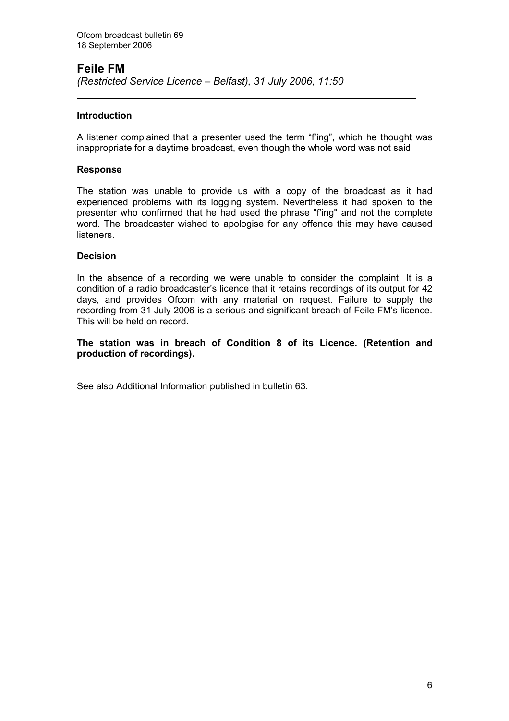#### Feile FM (Restricted Service Licence – Belfast), 31 July 2006, 11:50

#### **Introduction**

 $\overline{a}$ 

A listener complained that a presenter used the term "f'ing", which he thought was inappropriate for a daytime broadcast, even though the whole word was not said.

#### Response

The station was unable to provide us with a copy of the broadcast as it had experienced problems with its logging system. Nevertheless it had spoken to the presenter who confirmed that he had used the phrase "f'ing" and not the complete word. The broadcaster wished to apologise for any offence this may have caused listeners.

#### **Decision**

In the absence of a recording we were unable to consider the complaint. It is a condition of a radio broadcaster's licence that it retains recordings of its output for 42 days, and provides Ofcom with any material on request. Failure to supply the recording from 31 July 2006 is a serious and significant breach of Feile FM's licence. This will be held on record.

#### The station was in breach of Condition 8 of its Licence. (Retention and production of recordings).

See also Additional Information published in bulletin 63.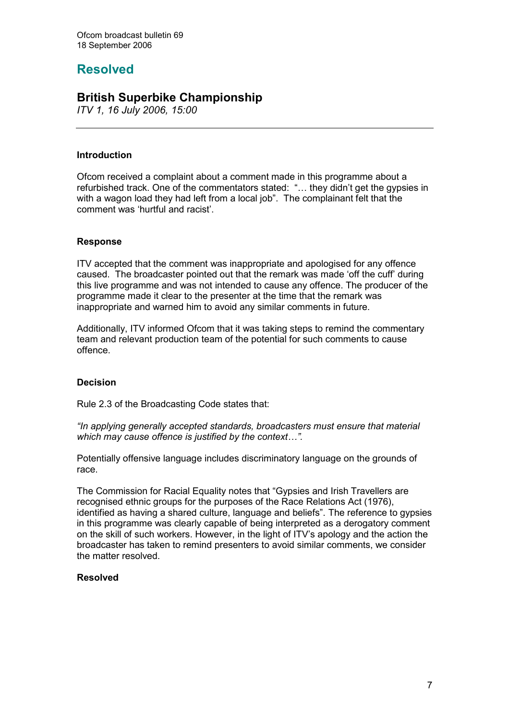# Resolved

## British Superbike Championship

ITV 1, 16 July 2006, 15:00

#### Introduction

Ofcom received a complaint about a comment made in this programme about a refurbished track. One of the commentators stated: "… they didn't get the gypsies in with a wagon load they had left from a local job". The complainant felt that the comment was 'hurtful and racist'.

#### Response

ITV accepted that the comment was inappropriate and apologised for any offence caused. The broadcaster pointed out that the remark was made 'off the cuff' during this live programme and was not intended to cause any offence. The producer of the programme made it clear to the presenter at the time that the remark was inappropriate and warned him to avoid any similar comments in future.

Additionally, ITV informed Ofcom that it was taking steps to remind the commentary team and relevant production team of the potential for such comments to cause offence.

#### Decision

Rule 2.3 of the Broadcasting Code states that:

"In applying generally accepted standards, broadcasters must ensure that material which may cause offence is justified by the context...".

Potentially offensive language includes discriminatory language on the grounds of race.

The Commission for Racial Equality notes that "Gypsies and Irish Travellers are recognised ethnic groups for the purposes of the Race Relations Act (1976). identified as having a shared culture, language and beliefs". The reference to gypsies in this programme was clearly capable of being interpreted as a derogatory comment on the skill of such workers. However, in the light of ITV's apology and the action the broadcaster has taken to remind presenters to avoid similar comments, we consider the matter resolved.

#### Resolved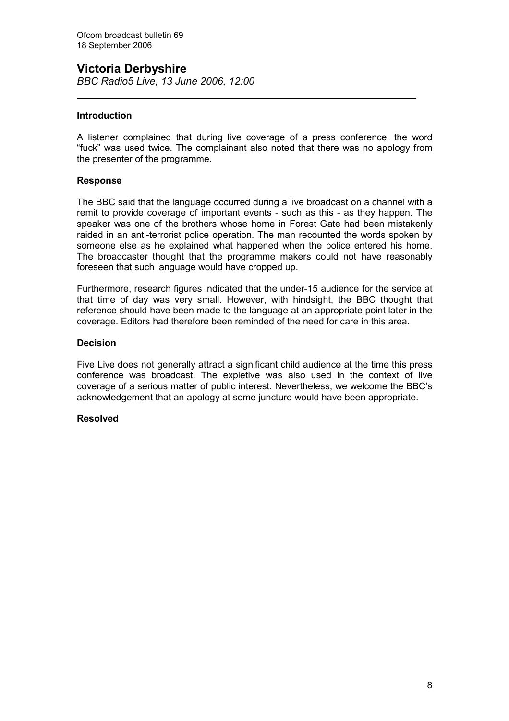## Victoria Derbyshire

BBC Radio5 Live, 13 June 2006, 12:00

#### **Introduction**

 $\overline{a}$ 

A listener complained that during live coverage of a press conference, the word "fuck" was used twice. The complainant also noted that there was no apology from the presenter of the programme.

#### Response

The BBC said that the language occurred during a live broadcast on a channel with a remit to provide coverage of important events - such as this - as they happen. The speaker was one of the brothers whose home in Forest Gate had been mistakenly raided in an anti-terrorist police operation. The man recounted the words spoken by someone else as he explained what happened when the police entered his home. The broadcaster thought that the programme makers could not have reasonably foreseen that such language would have cropped up.

Furthermore, research figures indicated that the under-15 audience for the service at that time of day was very small. However, with hindsight, the BBC thought that reference should have been made to the language at an appropriate point later in the coverage. Editors had therefore been reminded of the need for care in this area.

#### **Decision**

Five Live does not generally attract a significant child audience at the time this press conference was broadcast. The expletive was also used in the context of live coverage of a serious matter of public interest. Nevertheless, we welcome the BBC's acknowledgement that an apology at some juncture would have been appropriate.

#### Resolved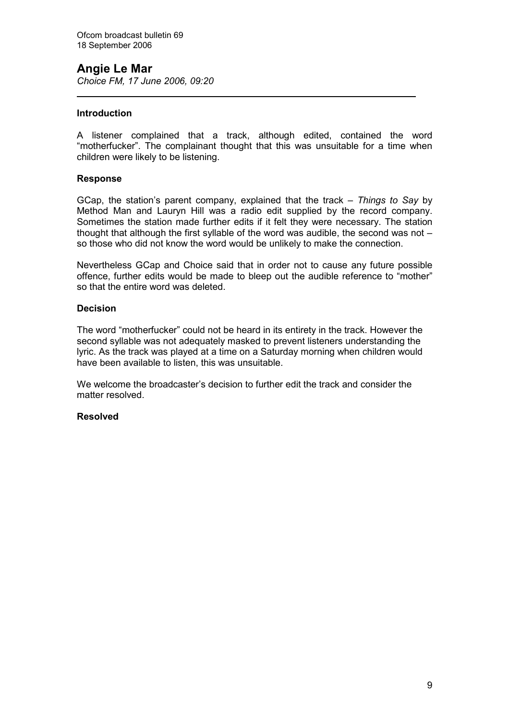## Angie Le Mar

Choice FM, 17 June 2006, 09:20

#### **Introduction**

l

A listener complained that a track, although edited, contained the word "motherfucker". The complainant thought that this was unsuitable for a time when children were likely to be listening.

#### Response

GCap, the station's parent company, explained that the track  $-$  Things to Say by Method Man and Lauryn Hill was a radio edit supplied by the record company. Sometimes the station made further edits if it felt they were necessary. The station thought that although the first syllable of the word was audible, the second was not  $$ so those who did not know the word would be unlikely to make the connection.

Nevertheless GCap and Choice said that in order not to cause any future possible offence, further edits would be made to bleep out the audible reference to "mother" so that the entire word was deleted.

#### Decision

The word "motherfucker" could not be heard in its entirety in the track. However the second syllable was not adequately masked to prevent listeners understanding the lyric. As the track was played at a time on a Saturday morning when children would have been available to listen, this was unsuitable.

We welcome the broadcaster's decision to further edit the track and consider the matter resolved.

#### Resolved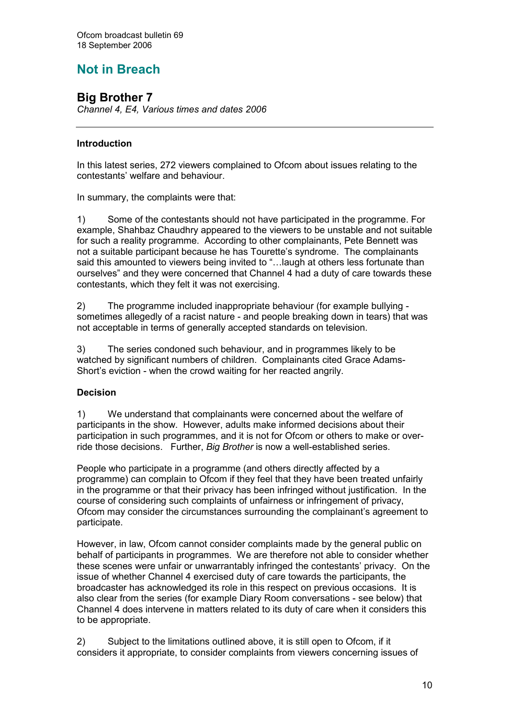# Not in Breach

## Big Brother 7

Channel 4, E4, Various times and dates 2006

#### Introduction

In this latest series, 272 viewers complained to Ofcom about issues relating to the contestants' welfare and behaviour.

In summary, the complaints were that:

1) Some of the contestants should not have participated in the programme. For example, Shahbaz Chaudhry appeared to the viewers to be unstable and not suitable for such a reality programme. According to other complainants, Pete Bennett was not a suitable participant because he has Tourette's syndrome. The complainants said this amounted to viewers being invited to "…laugh at others less fortunate than ourselves" and they were concerned that Channel 4 had a duty of care towards these contestants, which they felt it was not exercising.

2) The programme included inappropriate behaviour (for example bullying sometimes allegedly of a racist nature - and people breaking down in tears) that was not acceptable in terms of generally accepted standards on television.

3) The series condoned such behaviour, and in programmes likely to be watched by significant numbers of children. Complainants cited Grace Adams-Short's eviction - when the crowd waiting for her reacted angrily.

#### **Decision**

1) We understand that complainants were concerned about the welfare of participants in the show. However, adults make informed decisions about their participation in such programmes, and it is not for Ofcom or others to make or override those decisions. Further, Big Brother is now a well-established series.

People who participate in a programme (and others directly affected by a programme) can complain to Ofcom if they feel that they have been treated unfairly in the programme or that their privacy has been infringed without justification. In the course of considering such complaints of unfairness or infringement of privacy, Ofcom may consider the circumstances surrounding the complainant's agreement to participate.

However, in law, Ofcom cannot consider complaints made by the general public on behalf of participants in programmes. We are therefore not able to consider whether these scenes were unfair or unwarrantably infringed the contestants' privacy. On the issue of whether Channel 4 exercised duty of care towards the participants, the broadcaster has acknowledged its role in this respect on previous occasions. It is also clear from the series (for example Diary Room conversations - see below) that Channel 4 does intervene in matters related to its duty of care when it considers this to be appropriate.

2) Subject to the limitations outlined above, it is still open to Ofcom, if it considers it appropriate, to consider complaints from viewers concerning issues of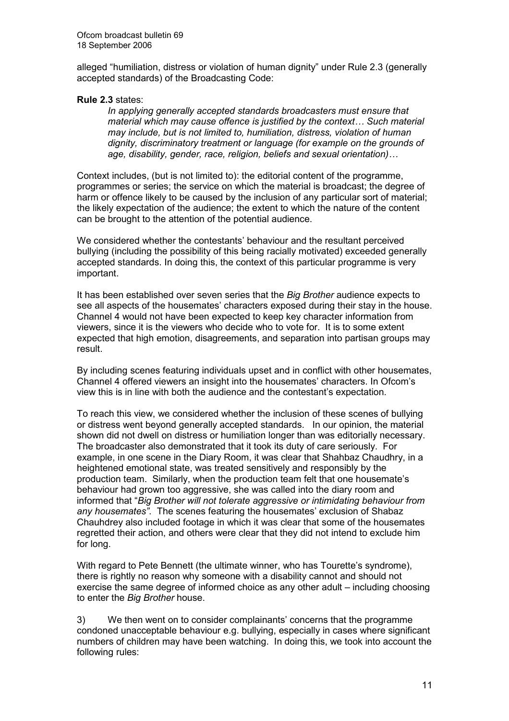alleged "humiliation, distress or violation of human dignity" under Rule 2.3 (generally accepted standards) of the Broadcasting Code:

#### Rule 2.3 states:

In applying generally accepted standards broadcasters must ensure that material which may cause offence is justified by the context… Such material may include, but is not limited to, humiliation, distress, violation of human dignity, discriminatory treatment or language (for example on the grounds of age, disability, gender, race, religion, beliefs and sexual orientation)…

Context includes, (but is not limited to): the editorial content of the programme, programmes or series; the service on which the material is broadcast; the degree of harm or offence likely to be caused by the inclusion of any particular sort of material; the likely expectation of the audience; the extent to which the nature of the content can be brought to the attention of the potential audience.

We considered whether the contestants' behaviour and the resultant perceived bullying (including the possibility of this being racially motivated) exceeded generally accepted standards. In doing this, the context of this particular programme is very important.

It has been established over seven series that the Big Brother audience expects to see all aspects of the housemates' characters exposed during their stay in the house. Channel 4 would not have been expected to keep key character information from viewers, since it is the viewers who decide who to vote for. It is to some extent expected that high emotion, disagreements, and separation into partisan groups may result.

By including scenes featuring individuals upset and in conflict with other housemates, Channel 4 offered viewers an insight into the housemates' characters. In Ofcom's view this is in line with both the audience and the contestant's expectation.

To reach this view, we considered whether the inclusion of these scenes of bullying or distress went beyond generally accepted standards. In our opinion, the material shown did not dwell on distress or humiliation longer than was editorially necessary. The broadcaster also demonstrated that it took its duty of care seriously. For example, in one scene in the Diary Room, it was clear that Shahbaz Chaudhry, in a heightened emotional state, was treated sensitively and responsibly by the production team. Similarly, when the production team felt that one housemate's behaviour had grown too aggressive, she was called into the diary room and informed that "Big Brother will not tolerate aggressive or intimidating behaviour from any housemates". The scenes featuring the housemates' exclusion of Shabaz Chauhdrey also included footage in which it was clear that some of the housemates regretted their action, and others were clear that they did not intend to exclude him for long.

With regard to Pete Bennett (the ultimate winner, who has Tourette's syndrome), there is rightly no reason why someone with a disability cannot and should not exercise the same degree of informed choice as any other adult – including choosing to enter the Big Brother house.

3) We then went on to consider complainants' concerns that the programme condoned unacceptable behaviour e.g. bullying, especially in cases where significant numbers of children may have been watching. In doing this, we took into account the following rules: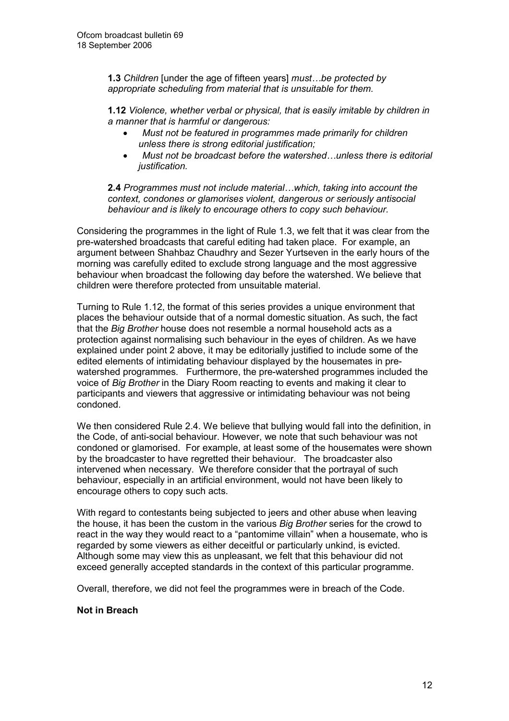**1.3** Children [under the age of fifteen years] must...be protected by appropriate scheduling from material that is unsuitable for them.

1.12 Violence, whether verbal or physical, that is easily imitable by children in a manner that is harmful or dangerous:

- Must not be featured in programmes made primarily for children unless there is strong editorial justification;
- Must not be broadcast before the watershed...unless there is editorial justification.

2.4 Programmes must not include material…which, taking into account the context, condones or glamorises violent, dangerous or seriously antisocial behaviour and is likely to encourage others to copy such behaviour.

Considering the programmes in the light of Rule 1.3, we felt that it was clear from the pre-watershed broadcasts that careful editing had taken place. For example, an argument between Shahbaz Chaudhry and Sezer Yurtseven in the early hours of the morning was carefully edited to exclude strong language and the most aggressive behaviour when broadcast the following day before the watershed. We believe that children were therefore protected from unsuitable material.

Turning to Rule 1.12, the format of this series provides a unique environment that places the behaviour outside that of a normal domestic situation. As such, the fact that the Big Brother house does not resemble a normal household acts as a protection against normalising such behaviour in the eyes of children. As we have explained under point 2 above, it may be editorially justified to include some of the edited elements of intimidating behaviour displayed by the housemates in prewatershed programmes. Furthermore, the pre-watershed programmes included the voice of Big Brother in the Diary Room reacting to events and making it clear to participants and viewers that aggressive or intimidating behaviour was not being condoned.

We then considered Rule 2.4. We believe that bullying would fall into the definition, in the Code, of anti-social behaviour. However, we note that such behaviour was not condoned or glamorised. For example, at least some of the housemates were shown by the broadcaster to have regretted their behaviour. The broadcaster also intervened when necessary. We therefore consider that the portrayal of such behaviour, especially in an artificial environment, would not have been likely to encourage others to copy such acts.

With regard to contestants being subjected to jeers and other abuse when leaving the house, it has been the custom in the various *Big Brother* series for the crowd to react in the way they would react to a "pantomime villain" when a housemate, who is regarded by some viewers as either deceitful or particularly unkind, is evicted. Although some may view this as unpleasant, we felt that this behaviour did not exceed generally accepted standards in the context of this particular programme.

Overall, therefore, we did not feel the programmes were in breach of the Code.

#### Not in Breach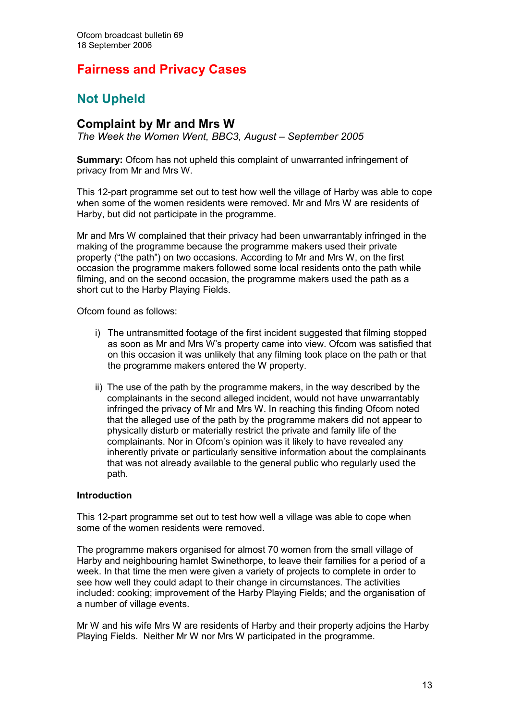## Fairness and Privacy Cases

# Not Upheld

## Complaint by Mr and Mrs W

The Week the Women Went, BBC3, August – September 2005

Summary: Ofcom has not upheld this complaint of unwarranted infringement of privacy from Mr and Mrs W.

This 12-part programme set out to test how well the village of Harby was able to cope when some of the women residents were removed. Mr and Mrs W are residents of Harby, but did not participate in the programme.

Mr and Mrs W complained that their privacy had been unwarrantably infringed in the making of the programme because the programme makers used their private property ("the path") on two occasions. According to Mr and Mrs W, on the first occasion the programme makers followed some local residents onto the path while filming, and on the second occasion, the programme makers used the path as a short cut to the Harby Playing Fields.

Ofcom found as follows:

- i) The untransmitted footage of the first incident suggested that filming stopped as soon as Mr and Mrs W's property came into view. Ofcom was satisfied that on this occasion it was unlikely that any filming took place on the path or that the programme makers entered the W property.
- ii) The use of the path by the programme makers, in the way described by the complainants in the second alleged incident, would not have unwarrantably infringed the privacy of Mr and Mrs W. In reaching this finding Ofcom noted that the alleged use of the path by the programme makers did not appear to physically disturb or materially restrict the private and family life of the complainants. Nor in Ofcom's opinion was it likely to have revealed any inherently private or particularly sensitive information about the complainants that was not already available to the general public who regularly used the path.

#### Introduction

This 12-part programme set out to test how well a village was able to cope when some of the women residents were removed.

The programme makers organised for almost 70 women from the small village of Harby and neighbouring hamlet Swinethorpe, to leave their families for a period of a week. In that time the men were given a variety of projects to complete in order to see how well they could adapt to their change in circumstances. The activities included: cooking; improvement of the Harby Playing Fields; and the organisation of a number of village events.

Mr W and his wife Mrs W are residents of Harby and their property adjoins the Harby Playing Fields. Neither Mr W nor Mrs W participated in the programme.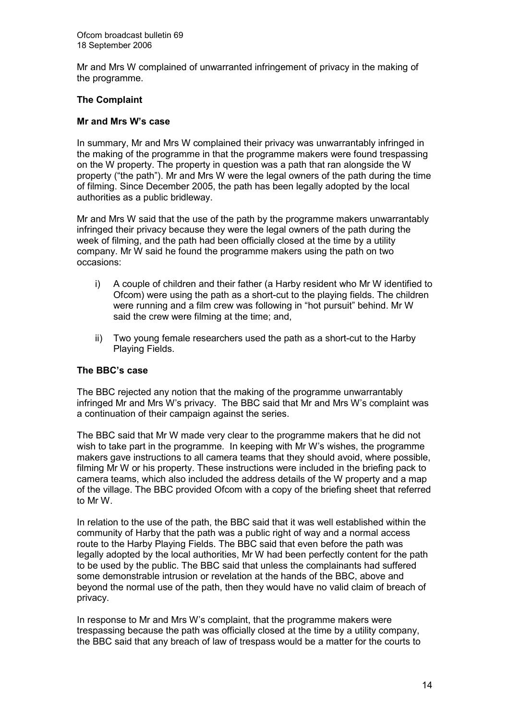Mr and Mrs W complained of unwarranted infringement of privacy in the making of the programme.

#### The Complaint

#### Mr and Mrs W's case

In summary, Mr and Mrs W complained their privacy was unwarrantably infringed in the making of the programme in that the programme makers were found trespassing on the W property. The property in question was a path that ran alongside the W property ("the path"). Mr and Mrs W were the legal owners of the path during the time of filming. Since December 2005, the path has been legally adopted by the local authorities as a public bridleway.

Mr and Mrs W said that the use of the path by the programme makers unwarrantably infringed their privacy because they were the legal owners of the path during the week of filming, and the path had been officially closed at the time by a utility company. Mr W said he found the programme makers using the path on two occasions:

- i) A couple of children and their father (a Harby resident who Mr W identified to Ofcom) were using the path as a short-cut to the playing fields. The children were running and a film crew was following in "hot pursuit" behind. Mr W said the crew were filming at the time; and,
- ii) Two young female researchers used the path as a short-cut to the Harby Playing Fields.

#### The BBC's case

The BBC rejected any notion that the making of the programme unwarrantably infringed Mr and Mrs W's privacy. The BBC said that Mr and Mrs W's complaint was a continuation of their campaign against the series.

The BBC said that Mr W made very clear to the programme makers that he did not wish to take part in the programme. In keeping with Mr W's wishes, the programme makers gave instructions to all camera teams that they should avoid, where possible, filming Mr W or his property. These instructions were included in the briefing pack to camera teams, which also included the address details of the W property and a map of the village. The BBC provided Ofcom with a copy of the briefing sheet that referred to Mr W.

In relation to the use of the path, the BBC said that it was well established within the community of Harby that the path was a public right of way and a normal access route to the Harby Playing Fields. The BBC said that even before the path was legally adopted by the local authorities, Mr W had been perfectly content for the path to be used by the public. The BBC said that unless the complainants had suffered some demonstrable intrusion or revelation at the hands of the BBC, above and beyond the normal use of the path, then they would have no valid claim of breach of privacy.

In response to Mr and Mrs W's complaint, that the programme makers were trespassing because the path was officially closed at the time by a utility company, the BBC said that any breach of law of trespass would be a matter for the courts to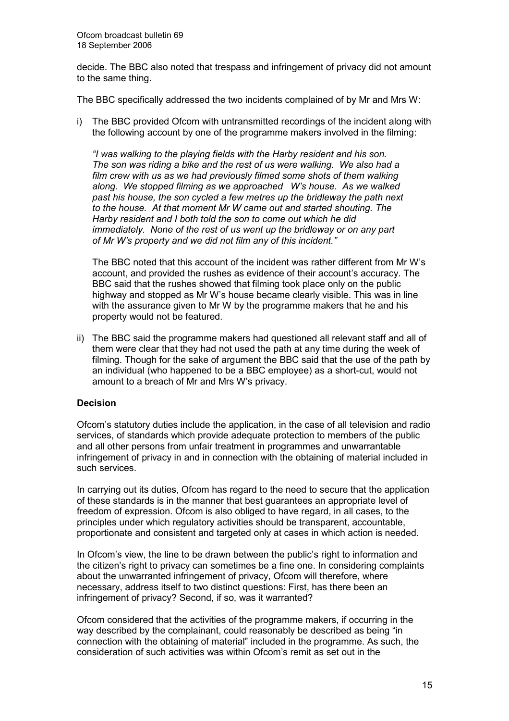decide. The BBC also noted that trespass and infringement of privacy did not amount to the same thing.

The BBC specifically addressed the two incidents complained of by Mr and Mrs W:

i) The BBC provided Ofcom with untransmitted recordings of the incident along with the following account by one of the programme makers involved in the filming:

 "I was walking to the playing fields with the Harby resident and his son. The son was riding a bike and the rest of us were walking. We also had a film crew with us as we had previously filmed some shots of them walking along. We stopped filming as we approached W's house. As we walked past his house, the son cycled a few metres up the bridleway the path next to the house. At that moment Mr W came out and started shouting. The Harby resident and I both told the son to come out which he did immediately. None of the rest of us went up the bridleway or on any part of Mr W's property and we did not film any of this incident."

The BBC noted that this account of the incident was rather different from Mr W's account, and provided the rushes as evidence of their account's accuracy. The BBC said that the rushes showed that filming took place only on the public highway and stopped as Mr W's house became clearly visible. This was in line with the assurance given to Mr W by the programme makers that he and his property would not be featured.

ii) The BBC said the programme makers had questioned all relevant staff and all of them were clear that they had not used the path at any time during the week of filming. Though for the sake of argument the BBC said that the use of the path by an individual (who happened to be a BBC employee) as a short-cut, would not amount to a breach of Mr and Mrs W's privacy.

#### Decision

Ofcom's statutory duties include the application, in the case of all television and radio services, of standards which provide adequate protection to members of the public and all other persons from unfair treatment in programmes and unwarrantable infringement of privacy in and in connection with the obtaining of material included in such services.

In carrying out its duties, Ofcom has regard to the need to secure that the application of these standards is in the manner that best guarantees an appropriate level of freedom of expression. Ofcom is also obliged to have regard, in all cases, to the principles under which regulatory activities should be transparent, accountable, proportionate and consistent and targeted only at cases in which action is needed.

In Ofcom's view, the line to be drawn between the public's right to information and the citizen's right to privacy can sometimes be a fine one. In considering complaints about the unwarranted infringement of privacy, Ofcom will therefore, where necessary, address itself to two distinct questions: First, has there been an infringement of privacy? Second, if so, was it warranted?

Ofcom considered that the activities of the programme makers, if occurring in the way described by the complainant, could reasonably be described as being "in connection with the obtaining of material" included in the programme. As such, the consideration of such activities was within Ofcom's remit as set out in the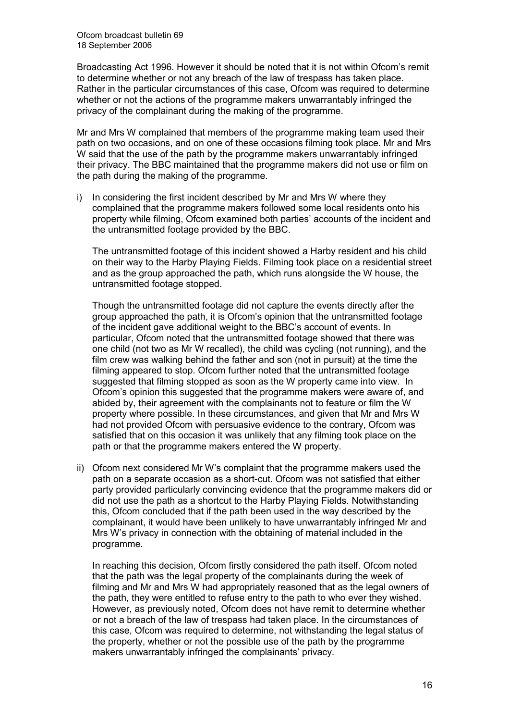Broadcasting Act 1996. However it should be noted that it is not within Ofcom's remit to determine whether or not any breach of the law of trespass has taken place. Rather in the particular circumstances of this case, Ofcom was required to determine whether or not the actions of the programme makers unwarrantably infringed the privacy of the complainant during the making of the programme.

Mr and Mrs W complained that members of the programme making team used their path on two occasions, and on one of these occasions filming took place. Mr and Mrs W said that the use of the path by the programme makers unwarrantably infringed their privacy. The BBC maintained that the programme makers did not use or film on the path during the making of the programme.

i) In considering the first incident described by Mr and Mrs W where they complained that the programme makers followed some local residents onto his property while filming, Ofcom examined both parties' accounts of the incident and the untransmitted footage provided by the BBC.

The untransmitted footage of this incident showed a Harby resident and his child on their way to the Harby Playing Fields. Filming took place on a residential street and as the group approached the path, which runs alongside the W house, the untransmitted footage stopped.

 Though the untransmitted footage did not capture the events directly after the group approached the path, it is Ofcom's opinion that the untransmitted footage of the incident gave additional weight to the BBC's account of events. In particular, Ofcom noted that the untransmitted footage showed that there was one child (not two as Mr W recalled), the child was cycling (not running), and the film crew was walking behind the father and son (not in pursuit) at the time the filming appeared to stop. Ofcom further noted that the untransmitted footage suggested that filming stopped as soon as the W property came into view. In Ofcom's opinion this suggested that the programme makers were aware of, and abided by, their agreement with the complainants not to feature or film the W property where possible. In these circumstances, and given that Mr and Mrs W had not provided Ofcom with persuasive evidence to the contrary, Ofcom was satisfied that on this occasion it was unlikely that any filming took place on the path or that the programme makers entered the W property.

ii) Ofcom next considered Mr W's complaint that the programme makers used the path on a separate occasion as a short-cut. Ofcom was not satisfied that either party provided particularly convincing evidence that the programme makers did or did not use the path as a shortcut to the Harby Playing Fields. Notwithstanding this, Ofcom concluded that if the path been used in the way described by the complainant, it would have been unlikely to have unwarrantably infringed Mr and Mrs W's privacy in connection with the obtaining of material included in the programme.

 In reaching this decision, Ofcom firstly considered the path itself. Ofcom noted that the path was the legal property of the complainants during the week of filming and Mr and Mrs W had appropriately reasoned that as the legal owners of the path, they were entitled to refuse entry to the path to who ever they wished. However, as previously noted, Ofcom does not have remit to determine whether or not a breach of the law of trespass had taken place. In the circumstances of this case, Ofcom was required to determine, not withstanding the legal status of the property, whether or not the possible use of the path by the programme makers unwarrantably infringed the complainants' privacy.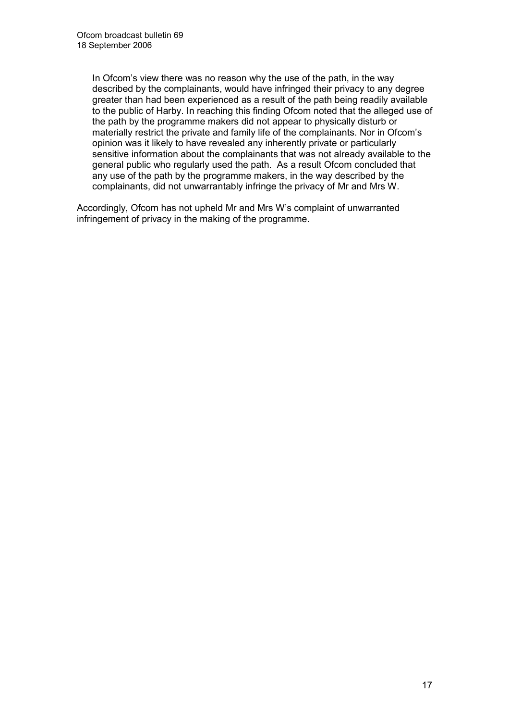In Ofcom's view there was no reason why the use of the path, in the way described by the complainants, would have infringed their privacy to any degree greater than had been experienced as a result of the path being readily available to the public of Harby. In reaching this finding Ofcom noted that the alleged use of the path by the programme makers did not appear to physically disturb or materially restrict the private and family life of the complainants. Nor in Ofcom's opinion was it likely to have revealed any inherently private or particularly sensitive information about the complainants that was not already available to the general public who regularly used the path. As a result Ofcom concluded that any use of the path by the programme makers, in the way described by the complainants, did not unwarrantably infringe the privacy of Mr and Mrs W.

Accordingly, Ofcom has not upheld Mr and Mrs W's complaint of unwarranted infringement of privacy in the making of the programme.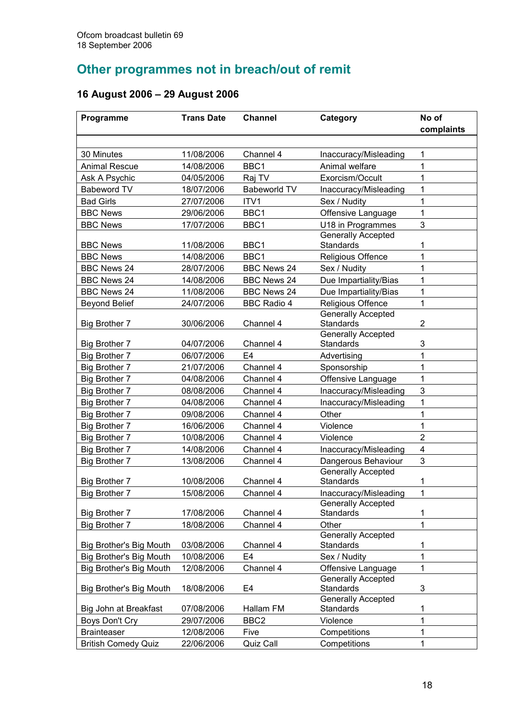# Other programmes not in breach/out of remit

# 16 August 2006 – 29 August 2006

| complaints<br>30 Minutes<br>11/08/2006<br>Channel 4<br>1<br>Inaccuracy/Misleading<br>BBC1<br>1<br>14/08/2006<br>Animal welfare<br><b>Animal Rescue</b><br>1<br>Ask A Psychic<br>04/05/2006<br>Exorcism/Occult<br>Raj TV<br><b>Babeworld TV</b><br><b>Babeword TV</b><br>1<br>18/07/2006<br>Inaccuracy/Misleading<br><b>Bad Girls</b><br>27/07/2006<br>ITV1<br>Sex / Nudity<br>1<br><b>BBC News</b><br>29/06/2006<br>BBC1<br>Offensive Language<br>1<br>3<br><b>BBC News</b><br>17/07/2006<br>BBC1<br>U18 in Programmes<br><b>Generally Accepted</b><br>BBC1<br>Standards<br><b>BBC News</b><br>11/08/2006<br>1<br><b>BBC News</b><br>14/08/2006<br>BBC1<br>Religious Offence<br>1 | Programme | <b>Trans Date</b> | <b>Channel</b> | Category | No of |
|-----------------------------------------------------------------------------------------------------------------------------------------------------------------------------------------------------------------------------------------------------------------------------------------------------------------------------------------------------------------------------------------------------------------------------------------------------------------------------------------------------------------------------------------------------------------------------------------------------------------------------------------------------------------------------------|-----------|-------------------|----------------|----------|-------|
|                                                                                                                                                                                                                                                                                                                                                                                                                                                                                                                                                                                                                                                                                   |           |                   |                |          |       |
|                                                                                                                                                                                                                                                                                                                                                                                                                                                                                                                                                                                                                                                                                   |           |                   |                |          |       |
|                                                                                                                                                                                                                                                                                                                                                                                                                                                                                                                                                                                                                                                                                   |           |                   |                |          |       |
|                                                                                                                                                                                                                                                                                                                                                                                                                                                                                                                                                                                                                                                                                   |           |                   |                |          |       |
|                                                                                                                                                                                                                                                                                                                                                                                                                                                                                                                                                                                                                                                                                   |           |                   |                |          |       |
|                                                                                                                                                                                                                                                                                                                                                                                                                                                                                                                                                                                                                                                                                   |           |                   |                |          |       |
|                                                                                                                                                                                                                                                                                                                                                                                                                                                                                                                                                                                                                                                                                   |           |                   |                |          |       |
|                                                                                                                                                                                                                                                                                                                                                                                                                                                                                                                                                                                                                                                                                   |           |                   |                |          |       |
|                                                                                                                                                                                                                                                                                                                                                                                                                                                                                                                                                                                                                                                                                   |           |                   |                |          |       |
|                                                                                                                                                                                                                                                                                                                                                                                                                                                                                                                                                                                                                                                                                   |           |                   |                |          |       |
|                                                                                                                                                                                                                                                                                                                                                                                                                                                                                                                                                                                                                                                                                   |           |                   |                |          |       |
| Sex / Nudity<br>1<br><b>BBC News 24</b><br>28/07/2006<br><b>BBC News 24</b>                                                                                                                                                                                                                                                                                                                                                                                                                                                                                                                                                                                                       |           |                   |                |          |       |
| Due Impartiality/Bias<br>1<br><b>BBC News 24</b><br>14/08/2006<br><b>BBC News 24</b>                                                                                                                                                                                                                                                                                                                                                                                                                                                                                                                                                                                              |           |                   |                |          |       |
| Due Impartiality/Bias<br>1<br><b>BBC News 24</b><br>11/08/2006<br><b>BBC News 24</b>                                                                                                                                                                                                                                                                                                                                                                                                                                                                                                                                                                                              |           |                   |                |          |       |
| 1<br><b>Beyond Belief</b><br>24/07/2006<br><b>BBC Radio 4</b><br>Religious Offence                                                                                                                                                                                                                                                                                                                                                                                                                                                                                                                                                                                                |           |                   |                |          |       |
| <b>Generally Accepted</b><br>Channel 4<br><b>Standards</b><br>$\overline{2}$<br><b>Big Brother 7</b><br>30/06/2006                                                                                                                                                                                                                                                                                                                                                                                                                                                                                                                                                                |           |                   |                |          |       |
| <b>Generally Accepted</b><br>Standards<br>3<br><b>Big Brother 7</b><br>04/07/2006<br>Channel 4                                                                                                                                                                                                                                                                                                                                                                                                                                                                                                                                                                                    |           |                   |                |          |       |
| 06/07/2006<br>E <sub>4</sub><br>Advertising<br>1<br>Big Brother 7                                                                                                                                                                                                                                                                                                                                                                                                                                                                                                                                                                                                                 |           |                   |                |          |       |
| 1<br>Big Brother 7<br>21/07/2006<br>Channel 4<br>Sponsorship                                                                                                                                                                                                                                                                                                                                                                                                                                                                                                                                                                                                                      |           |                   |                |          |       |
| 1<br>Big Brother 7<br>04/08/2006<br>Channel 4<br>Offensive Language                                                                                                                                                                                                                                                                                                                                                                                                                                                                                                                                                                                                               |           |                   |                |          |       |
| $\mathbf{3}$<br>Big Brother 7<br>08/08/2006<br>Channel 4<br>Inaccuracy/Misleading                                                                                                                                                                                                                                                                                                                                                                                                                                                                                                                                                                                                 |           |                   |                |          |       |
| 1<br>Big Brother 7<br>04/08/2006<br>Channel 4<br>Inaccuracy/Misleading                                                                                                                                                                                                                                                                                                                                                                                                                                                                                                                                                                                                            |           |                   |                |          |       |
| 1<br>Big Brother 7<br>09/08/2006<br>Channel 4<br>Other                                                                                                                                                                                                                                                                                                                                                                                                                                                                                                                                                                                                                            |           |                   |                |          |       |
| 1<br>Big Brother 7<br>16/06/2006<br>Channel 4<br>Violence                                                                                                                                                                                                                                                                                                                                                                                                                                                                                                                                                                                                                         |           |                   |                |          |       |
| $\overline{2}$<br>Big Brother 7<br>10/08/2006<br>Violence<br>Channel 4                                                                                                                                                                                                                                                                                                                                                                                                                                                                                                                                                                                                            |           |                   |                |          |       |
| $\overline{\mathbf{4}}$<br>Big Brother 7<br>14/08/2006<br>Channel 4<br>Inaccuracy/Misleading                                                                                                                                                                                                                                                                                                                                                                                                                                                                                                                                                                                      |           |                   |                |          |       |
| 3<br>Big Brother 7<br>13/08/2006<br>Channel 4<br>Dangerous Behaviour                                                                                                                                                                                                                                                                                                                                                                                                                                                                                                                                                                                                              |           |                   |                |          |       |
| Generally Accepted<br>10/08/2006<br>Channel 4<br>Standards<br>Big Brother 7<br>1                                                                                                                                                                                                                                                                                                                                                                                                                                                                                                                                                                                                  |           |                   |                |          |       |
| 1<br><b>Big Brother 7</b><br>15/08/2006<br>Channel 4<br>Inaccuracy/Misleading                                                                                                                                                                                                                                                                                                                                                                                                                                                                                                                                                                                                     |           |                   |                |          |       |
| <b>Generally Accepted</b><br><b>Standards</b><br><b>Big Brother 7</b><br>17/08/2006<br>Channel 4<br>1                                                                                                                                                                                                                                                                                                                                                                                                                                                                                                                                                                             |           |                   |                |          |       |
| 18/08/2006<br>Big Brother 7<br>Channel 4<br>Other<br>1                                                                                                                                                                                                                                                                                                                                                                                                                                                                                                                                                                                                                            |           |                   |                |          |       |
| <b>Generally Accepted</b>                                                                                                                                                                                                                                                                                                                                                                                                                                                                                                                                                                                                                                                         |           |                   |                |          |       |
| Channel 4<br>Big Brother's Big Mouth<br>03/08/2006<br>Standards<br>1                                                                                                                                                                                                                                                                                                                                                                                                                                                                                                                                                                                                              |           |                   |                |          |       |
| 1<br>Big Brother's Big Mouth<br>10/08/2006<br>E4<br>Sex / Nudity                                                                                                                                                                                                                                                                                                                                                                                                                                                                                                                                                                                                                  |           |                   |                |          |       |
| Channel 4<br>1<br>Big Brother's Big Mouth<br>12/08/2006<br>Offensive Language                                                                                                                                                                                                                                                                                                                                                                                                                                                                                                                                                                                                     |           |                   |                |          |       |
| <b>Generally Accepted</b>                                                                                                                                                                                                                                                                                                                                                                                                                                                                                                                                                                                                                                                         |           |                   |                |          |       |
| E4<br><b>Standards</b><br>3<br>Big Brother's Big Mouth<br>18/08/2006                                                                                                                                                                                                                                                                                                                                                                                                                                                                                                                                                                                                              |           |                   |                |          |       |
| <b>Generally Accepted</b><br>Big John at Breakfast<br>07/08/2006<br>Hallam FM<br><b>Standards</b><br>1                                                                                                                                                                                                                                                                                                                                                                                                                                                                                                                                                                            |           |                   |                |          |       |
| 1<br>BBC <sub>2</sub><br>Violence<br>Boys Don't Cry<br>29/07/2006                                                                                                                                                                                                                                                                                                                                                                                                                                                                                                                                                                                                                 |           |                   |                |          |       |
| 1<br>12/08/2006<br><b>Brainteaser</b><br>Five<br>Competitions                                                                                                                                                                                                                                                                                                                                                                                                                                                                                                                                                                                                                     |           |                   |                |          |       |
| Quiz Call<br>Competitions<br><b>British Comedy Quiz</b><br>22/06/2006<br>1                                                                                                                                                                                                                                                                                                                                                                                                                                                                                                                                                                                                        |           |                   |                |          |       |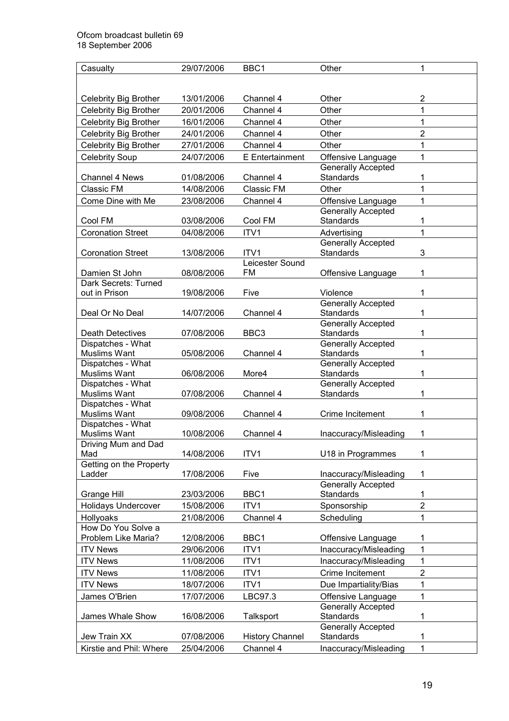| Casualty                                 | 29/07/2006 | BBC1                   | Other                                           | 1                       |
|------------------------------------------|------------|------------------------|-------------------------------------------------|-------------------------|
|                                          |            |                        |                                                 |                         |
|                                          |            |                        |                                                 |                         |
| <b>Celebrity Big Brother</b>             | 13/01/2006 | Channel 4              | Other                                           | $\overline{\mathbf{c}}$ |
| Celebrity Big Brother                    | 20/01/2006 | Channel 4              | Other                                           | 1                       |
| <b>Celebrity Big Brother</b>             | 16/01/2006 | Channel 4              | Other                                           | 1                       |
| <b>Celebrity Big Brother</b>             | 24/01/2006 | Channel 4              | Other                                           | $\overline{2}$          |
| Celebrity Big Brother                    | 27/01/2006 | Channel 4              | Other                                           | 1                       |
| <b>Celebrity Soup</b>                    | 24/07/2006 | E Entertainment        | Offensive Language                              | 1                       |
| <b>Channel 4 News</b>                    | 01/08/2006 | Channel 4              | Generally Accepted<br>Standards                 | 1                       |
| Classic FM                               | 14/08/2006 | Classic FM             | Other                                           | 1                       |
|                                          |            |                        |                                                 | 1                       |
| Come Dine with Me                        | 23/08/2006 | Channel 4              | Offensive Language<br><b>Generally Accepted</b> |                         |
| Cool FM                                  | 03/08/2006 | Cool FM                | <b>Standards</b>                                | 1                       |
| <b>Coronation Street</b>                 | 04/08/2006 | ITV1                   | Advertising                                     | $\mathbf 1$             |
|                                          |            |                        | <b>Generally Accepted</b>                       |                         |
| <b>Coronation Street</b>                 | 13/08/2006 | ITV <sub>1</sub>       | <b>Standards</b>                                | 3                       |
|                                          |            | Leicester Sound        |                                                 |                         |
| Damien St John                           | 08/08/2006 | <b>FM</b>              | Offensive Language                              | 1                       |
| Dark Secrets: Turned                     |            |                        |                                                 |                         |
| out in Prison                            | 19/08/2006 | Five                   | Violence                                        | 1                       |
|                                          |            |                        | <b>Generally Accepted</b>                       |                         |
| Deal Or No Deal                          | 14/07/2006 | Channel 4              | Standards<br><b>Generally Accepted</b>          | 1                       |
| <b>Death Detectives</b>                  | 07/08/2006 | BBC <sub>3</sub>       | Standards                                       | 1                       |
| Dispatches - What                        |            |                        | <b>Generally Accepted</b>                       |                         |
| Muslims Want                             | 05/08/2006 | Channel 4              | Standards                                       | 1                       |
| Dispatches - What                        |            |                        | Generally Accepted                              |                         |
| Muslims Want                             | 06/08/2006 | More4                  | Standards                                       | 1                       |
| Dispatches - What                        |            |                        | <b>Generally Accepted</b>                       |                         |
| Muslims Want                             | 07/08/2006 | Channel 4              | Standards                                       | 1                       |
| Dispatches - What<br><b>Muslims Want</b> | 09/08/2006 | Channel 4              | Crime Incitement                                | 1                       |
| Dispatches - What                        |            |                        |                                                 |                         |
| Muslims Want                             | 10/08/2006 | Channel 4              | Inaccuracy/Misleading                           | 1                       |
| Driving Mum and Dad                      |            |                        |                                                 |                         |
| Mad                                      | 14/08/2006 | ITV1                   | U18 in Programmes                               | 1                       |
| Getting on the Property                  |            |                        |                                                 |                         |
| Ladder                                   | 17/08/2006 | Five                   | Inaccuracy/Misleading                           | 1                       |
|                                          |            |                        | <b>Generally Accepted</b>                       |                         |
| Grange Hill                              | 23/03/2006 | BBC1                   | <b>Standards</b>                                | 1                       |
| <b>Holidays Undercover</b>               | 15/08/2006 | ITV <sub>1</sub>       | Sponsorship                                     | $\overline{2}$          |
| Hollyoaks<br>How Do You Solve a          | 21/08/2006 | Channel 4              | Scheduling                                      | 1                       |
| Problem Like Maria?                      | 12/08/2006 | BBC1                   | Offensive Language                              | 1                       |
| <b>ITV News</b>                          | 29/06/2006 | ITV1                   | Inaccuracy/Misleading                           | 1                       |
|                                          |            |                        |                                                 |                         |
| <b>ITV News</b>                          | 11/08/2006 | ITV1                   | Inaccuracy/Misleading                           | $\mathbf{1}$            |
| <b>ITV News</b>                          | 11/08/2006 | ITV1                   | Crime Incitement                                | $\overline{2}$          |
| <b>ITV News</b>                          | 18/07/2006 | ITV1                   | Due Impartiality/Bias                           | $\mathbf{1}$            |
| James O'Brien                            | 17/07/2006 | LBC97.3                | Offensive Language                              | 1                       |
| James Whale Show                         | 16/08/2006 |                        | <b>Generally Accepted</b><br>Standards          | 1                       |
|                                          |            | <b>Talksport</b>       | <b>Generally Accepted</b>                       |                         |
| Jew Train XX                             | 07/08/2006 | <b>History Channel</b> | Standards                                       | 1                       |
| Kirstie and Phil: Where                  | 25/04/2006 | Channel 4              | Inaccuracy/Misleading                           | 1                       |
|                                          |            |                        |                                                 |                         |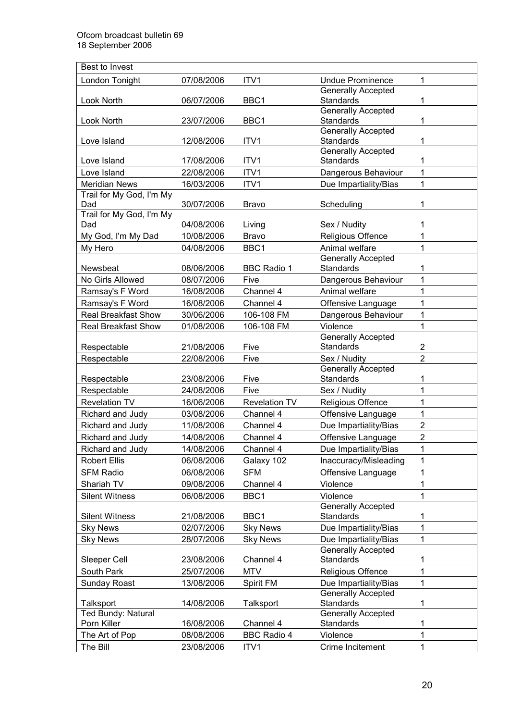| Best to Invest             |            |                      |                                               |                |
|----------------------------|------------|----------------------|-----------------------------------------------|----------------|
| London Tonight             | 07/08/2006 | ITV1                 | <b>Undue Prominence</b>                       | 1              |
|                            |            |                      | <b>Generally Accepted</b>                     |                |
| Look North                 | 06/07/2006 | BBC1                 | <b>Standards</b>                              | 1              |
|                            |            |                      | <b>Generally Accepted</b>                     |                |
| Look North                 | 23/07/2006 | BBC1                 | Standards                                     | 1              |
|                            |            |                      | <b>Generally Accepted</b>                     |                |
| Love Island                | 12/08/2006 | ITV1                 | Standards<br><b>Generally Accepted</b>        | 1              |
| Love Island                | 17/08/2006 | ITV1                 | <b>Standards</b>                              | 1              |
| Love Island                | 22/08/2006 | ITV1                 | Dangerous Behaviour                           | 1              |
| <b>Meridian News</b>       | 16/03/2006 | ITV1                 | Due Impartiality/Bias                         | 1              |
| Trail for My God, I'm My   |            |                      |                                               |                |
| Dad                        | 30/07/2006 | <b>Bravo</b>         | Scheduling                                    | 1              |
| Trail for My God, I'm My   |            |                      |                                               |                |
| Dad                        | 04/08/2006 | Living               | Sex / Nudity                                  | 1              |
| My God, I'm My Dad         | 10/08/2006 | <b>Bravo</b>         | Religious Offence                             | 1              |
| My Hero                    | 04/08/2006 | BBC1                 | Animal welfare                                | 1              |
|                            |            |                      | Generally Accepted                            |                |
| Newsbeat                   | 08/06/2006 | <b>BBC Radio 1</b>   | Standards                                     | 1              |
| No Girls Allowed           | 08/07/2006 | Five                 | Dangerous Behaviour                           | $\mathbf{1}$   |
| Ramsay's F Word            | 16/08/2006 | Channel 4            | Animal welfare                                | 1              |
| Ramsay's F Word            | 16/08/2006 | Channel 4            | Offensive Language                            | 1              |
| <b>Real Breakfast Show</b> | 30/06/2006 | 106-108 FM           | Dangerous Behaviour                           | 1              |
| Real Breakfast Show        | 01/08/2006 | 106-108 FM           | Violence                                      | 1              |
|                            |            |                      | <b>Generally Accepted</b>                     |                |
| Respectable                | 21/08/2006 | Five                 | <b>Standards</b>                              | 2              |
| Respectable                | 22/08/2006 | Five                 | Sex / Nudity                                  | $\overline{2}$ |
| Respectable                | 23/08/2006 | Five                 | <b>Generally Accepted</b><br><b>Standards</b> | 1              |
| Respectable                | 24/08/2006 | Five                 | Sex / Nudity                                  | 1              |
| <b>Revelation TV</b>       | 16/06/2006 | <b>Revelation TV</b> | Religious Offence                             | 1              |
| Richard and Judy           | 03/08/2006 | Channel 4            | Offensive Language                            | 1              |
| Richard and Judy           | 11/08/2006 | Channel 4            | Due Impartiality/Bias                         | $\overline{2}$ |
| Richard and Judy           | 14/08/2006 | Channel 4            | Offensive Language                            | $\overline{2}$ |
| Richard and Judy           | 14/08/2006 | Channel 4            | Due Impartiality/Bias                         | 1              |
| <b>Robert Ellis</b>        | 06/08/2006 |                      |                                               | 1              |
|                            |            | Galaxy 102           | Inaccuracy/Misleading                         |                |
| <b>SFM Radio</b>           | 06/08/2006 | <b>SFM</b>           | Offensive Language                            | 1              |
| Shariah TV                 | 09/08/2006 | Channel 4            | Violence                                      | 1              |
| <b>Silent Witness</b>      | 06/08/2006 | BBC1                 | Violence                                      | 1              |
| <b>Silent Witness</b>      | 21/08/2006 | BBC1                 | <b>Generally Accepted</b><br>Standards        | 1              |
| <b>Sky News</b>            | 02/07/2006 | <b>Sky News</b>      | Due Impartiality/Bias                         | 1              |
| <b>Sky News</b>            | 28/07/2006 | <b>Sky News</b>      | Due Impartiality/Bias                         | 1              |
|                            |            |                      | <b>Generally Accepted</b>                     |                |
| Sleeper Cell               | 23/08/2006 | Channel 4            | Standards                                     | 1              |
| South Park                 | 25/07/2006 | <b>MTV</b>           | Religious Offence                             | 1              |
| Sunday Roast               | 13/08/2006 | Spirit FM            | Due Impartiality/Bias                         | 1              |
|                            |            |                      | <b>Generally Accepted</b>                     |                |
| Talksport                  | 14/08/2006 | Talksport            | Standards                                     | 1              |
| Ted Bundy: Natural         |            |                      | <b>Generally Accepted</b>                     |                |
| Porn Killer                | 16/08/2006 | Channel 4            | Standards                                     | 1              |
| The Art of Pop             | 08/08/2006 | <b>BBC Radio 4</b>   | Violence                                      | 1              |
| The Bill                   | 23/08/2006 | ITV1                 | Crime Incitement                              | 1              |